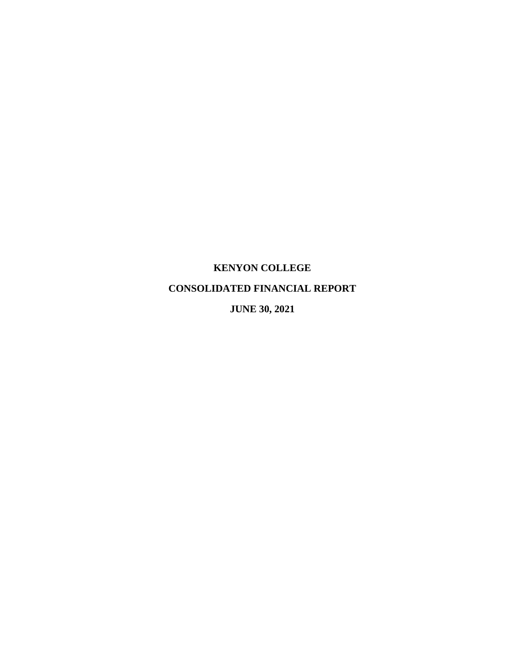# **CONSOLIDATED FINANCIAL REPORT**

**JUNE 30, 2021**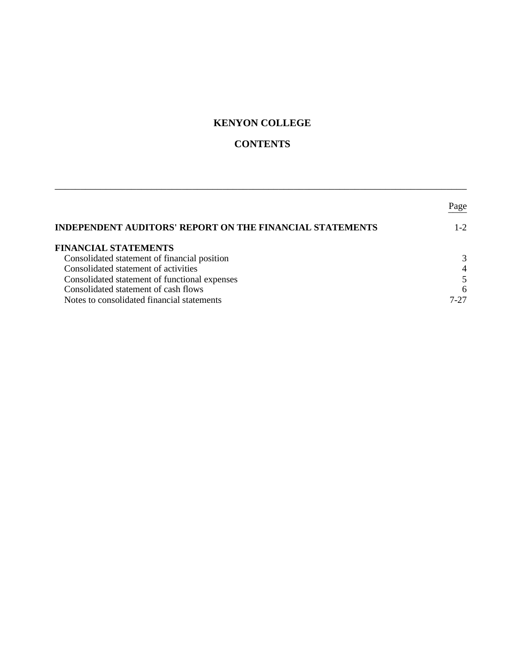# **CONTENTS**

\_\_\_\_\_\_\_\_\_\_\_\_\_\_\_\_\_\_\_\_\_\_\_\_\_\_\_\_\_\_\_\_\_\_\_\_\_\_\_\_\_\_\_\_\_\_\_\_\_\_\_\_\_\_\_\_\_\_\_\_\_\_\_\_\_\_\_\_\_\_\_\_\_\_\_\_\_\_\_\_\_

|                                                                 | Page  |
|-----------------------------------------------------------------|-------|
| <b>INDEPENDENT AUDITORS' REPORT ON THE FINANCIAL STATEMENTS</b> | $1-2$ |
| <b>FINANCIAL STATEMENTS</b>                                     |       |
| Consolidated statement of financial position                    | 3     |
| Consolidated statement of activities                            | 4     |
| Consolidated statement of functional expenses                   | 5     |
| Consolidated statement of cash flows                            | 6     |
| Notes to consolidated financial statements                      | 7-27  |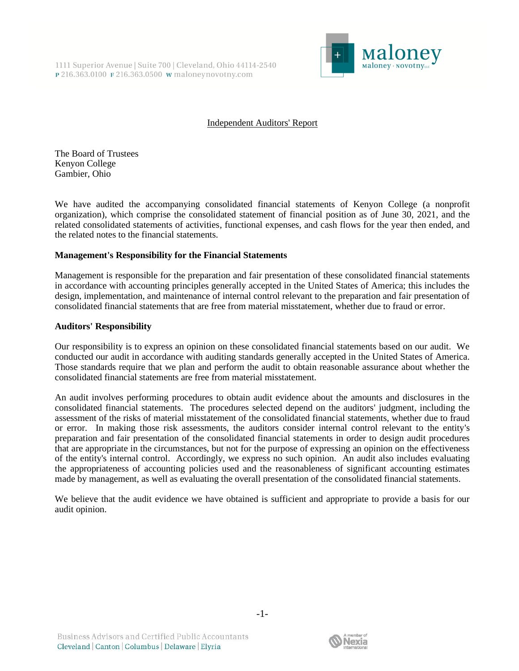

# Independent Auditors' Report

The Board of Trustees Kenyon College Gambier, Ohio

We have audited the accompanying consolidated financial statements of Kenyon College (a nonprofit organization), which comprise the consolidated statement of financial position as of June 30, 2021, and the related consolidated statements of activities, functional expenses, and cash flows for the year then ended, and the related notes to the financial statements.

### **Management's Responsibility for the Financial Statements**

Management is responsible for the preparation and fair presentation of these consolidated financial statements in accordance with accounting principles generally accepted in the United States of America; this includes the design, implementation, and maintenance of internal control relevant to the preparation and fair presentation of consolidated financial statements that are free from material misstatement, whether due to fraud or error.

# **Auditors' Responsibility**

Our responsibility is to express an opinion on these consolidated financial statements based on our audit. We conducted our audit in accordance with auditing standards generally accepted in the United States of America. Those standards require that we plan and perform the audit to obtain reasonable assurance about whether the consolidated financial statements are free from material misstatement.

An audit involves performing procedures to obtain audit evidence about the amounts and disclosures in the consolidated financial statements. The procedures selected depend on the auditors' judgment, including the assessment of the risks of material misstatement of the consolidated financial statements, whether due to fraud or error. In making those risk assessments, the auditors consider internal control relevant to the entity's preparation and fair presentation of the consolidated financial statements in order to design audit procedures that are appropriate in the circumstances, but not for the purpose of expressing an opinion on the effectiveness of the entity's internal control. Accordingly, we express no such opinion. An audit also includes evaluating the appropriateness of accounting policies used and the reasonableness of significant accounting estimates made by management, as well as evaluating the overall presentation of the consolidated financial statements.

We believe that the audit evidence we have obtained is sufficient and appropriate to provide a basis for our audit opinion.

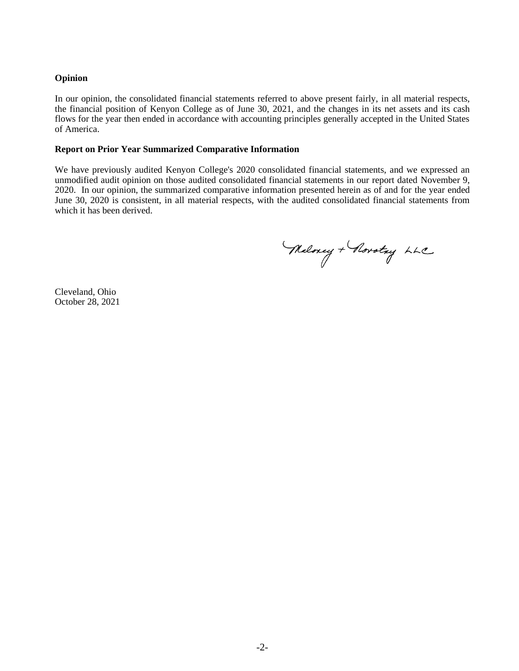## **Opinion**

In our opinion, the consolidated financial statements referred to above present fairly, in all material respects, the financial position of Kenyon College as of June 30, 2021, and the changes in its net assets and its cash flows for the year then ended in accordance with accounting principles generally accepted in the United States of America.

#### **Report on Prior Year Summarized Comparative Information**

We have previously audited Kenyon College's 2020 consolidated financial statements, and we expressed an unmodified audit opinion on those audited consolidated financial statements in our report dated November 9, 2020. In our opinion, the summarized comparative information presented herein as of and for the year ended June 30, 2020 is consistent, in all material respects, with the audited consolidated financial statements from which it has been derived.

Neloney + Rorotry LLC

Cleveland, Ohio October 28, 2021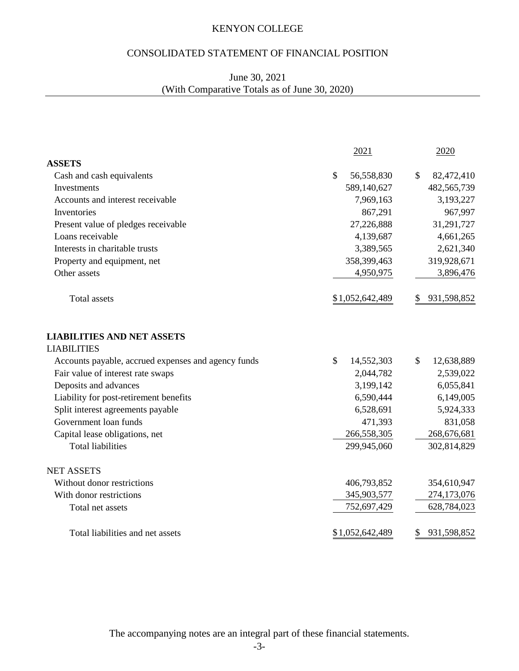# CONSOLIDATED STATEMENT OF FINANCIAL POSITION

# (With Comparative Totals as of June 30, 2020) June 30, 2021

|                                                         | 2021             | 2020                          |
|---------------------------------------------------------|------------------|-------------------------------|
| <b>ASSETS</b>                                           |                  |                               |
| Cash and cash equivalents                               | \$<br>56,558,830 | \$<br>82,472,410              |
| Investments                                             | 589,140,627      | 482,565,739                   |
| Accounts and interest receivable                        | 7,969,163        | 3,193,227                     |
| Inventories                                             | 867,291          | 967,997                       |
| Present value of pledges receivable                     | 27,226,888       | 31,291,727                    |
| Loans receivable                                        | 4,139,687        | 4,661,265                     |
| Interests in charitable trusts                          | 3,389,565        | 2,621,340                     |
| Property and equipment, net                             | 358,399,463      | 319,928,671                   |
| Other assets                                            | 4,950,975        | 3,896,476                     |
| <b>Total assets</b>                                     | \$1,052,642,489  | $\mathbb{S}^-$<br>931,598,852 |
| <b>LIABILITIES AND NET ASSETS</b><br><b>LIABILITIES</b> |                  |                               |
| Accounts payable, accrued expenses and agency funds     | \$<br>14,552,303 | \$<br>12,638,889              |
| Fair value of interest rate swaps                       | 2,044,782        | 2,539,022                     |
| Deposits and advances                                   | 3,199,142        | 6,055,841                     |
| Liability for post-retirement benefits                  | 6,590,444        | 6,149,005                     |
| Split interest agreements payable                       | 6,528,691        | 5,924,333                     |
| Government loan funds                                   | 471,393          | 831,058                       |
| Capital lease obligations, net                          | 266,558,305      | 268,676,681                   |
| <b>Total liabilities</b>                                | 299,945,060      | 302,814,829                   |
| <b>NET ASSETS</b>                                       |                  |                               |
| Without donor restrictions                              | 406,793,852      | 354,610,947                   |
| With donor restrictions                                 | 345,903,577      | 274,173,076                   |
| Total net assets                                        | 752,697,429      | 628,784,023                   |
| Total liabilities and net assets                        | \$1,052,642,489  | 931,598,852<br>\$             |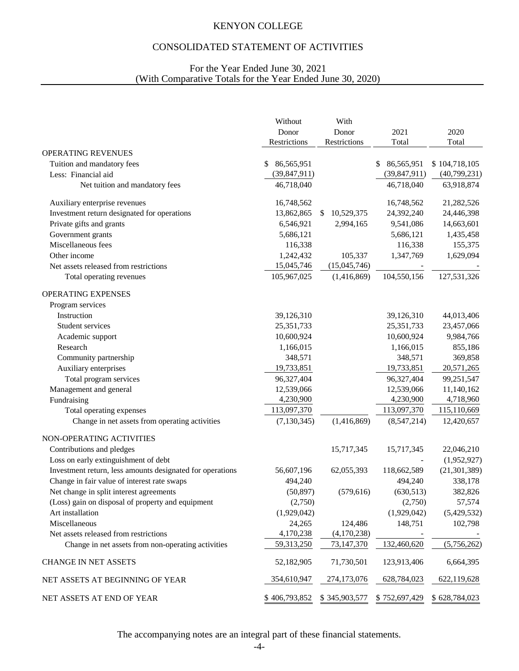# CONSOLIDATED STATEMENT OF ACTIVITIES

### (With Comparative Totals for the Year Ended June 30, 2020) For the Year Ended June 30, 2021

|                                                           | Without          | With             |                  |                |
|-----------------------------------------------------------|------------------|------------------|------------------|----------------|
|                                                           | Donor            | Donor            | 2021             | 2020           |
|                                                           | Restrictions     | Restrictions     | Total            | Total          |
| OPERATING REVENUES<br>Tuition and mandatory fees          | 86,565,951<br>\$ |                  | 86,565,951<br>\$ | \$104,718,105  |
| Less: Financial aid                                       | (39, 847, 911)   |                  | (39, 847, 911)   | (40,799,231)   |
| Net tuition and mandatory fees                            | 46,718,040       |                  | 46,718,040       | 63,918,874     |
|                                                           |                  |                  |                  |                |
| Auxiliary enterprise revenues                             | 16,748,562       |                  | 16,748,562       | 21,282,526     |
| Investment return designated for operations               | 13,862,865       | 10,529,375<br>\$ | 24,392,240       | 24,446,398     |
| Private gifts and grants                                  | 6,546,921        | 2,994,165        | 9,541,086        | 14,663,601     |
| Government grants                                         | 5,686,121        |                  | 5,686,121        | 1,435,458      |
| Miscellaneous fees                                        | 116,338          |                  | 116,338          | 155,375        |
| Other income                                              | 1,242,432        | 105,337          | 1,347,769        | 1,629,094      |
| Net assets released from restrictions                     | 15,045,746       | (15,045,746)     |                  |                |
| Total operating revenues                                  | 105,967,025      | (1,416,869)      | 104,550,156      | 127,531,326    |
| OPERATING EXPENSES                                        |                  |                  |                  |                |
| Program services                                          |                  |                  |                  |                |
| Instruction                                               | 39,126,310       |                  | 39,126,310       | 44,013,406     |
| Student services                                          | 25,351,733       |                  | 25,351,733       | 23,457,066     |
| Academic support                                          | 10,600,924       |                  | 10,600,924       | 9,984,766      |
| Research                                                  | 1,166,015        |                  | 1,166,015        | 855,186        |
| Community partnership                                     | 348,571          |                  | 348,571          | 369,858        |
| Auxiliary enterprises                                     | 19,733,851       |                  | 19,733,851       | 20,571,265     |
| Total program services                                    | 96,327,404       |                  | 96,327,404       | 99,251,547     |
| Management and general                                    | 12,539,066       |                  | 12,539,066       | 11,140,162     |
| Fundraising                                               | 4,230,900        |                  | 4,230,900        | 4,718,960      |
| Total operating expenses                                  | 113,097,370      |                  | 113,097,370      | 115,110,669    |
| Change in net assets from operating activities            | (7, 130, 345)    | (1,416,869)      | (8,547,214)      | 12,420,657     |
| NON-OPERATING ACTIVITIES                                  |                  |                  |                  |                |
| Contributions and pledges                                 |                  | 15,717,345       | 15,717,345       | 22,046,210     |
| Loss on early extinguishment of debt                      |                  |                  |                  | (1,952,927)    |
| Investment return, less amounts designated for operations | 56,607,196       | 62,055,393       | 118,662,589      | (21, 301, 389) |
| Change in fair value of interest rate swaps               | 494,240          |                  | 494,240          | 338,178        |
| Net change in split interest agreements                   | (50, 897)        | (579, 616)       | (630,513)        | 382,826        |
| (Loss) gain on disposal of property and equipment         | (2,750)          |                  | (2,750)          | 57,574         |
| Art installation                                          | (1,929,042)      |                  | (1,929,042)      | (5,429,532)    |
| Miscellaneous                                             | 24,265           | 124,486          | 148,751          | 102,798        |
| Net assets released from restrictions                     | 4,170,238        | (4,170,238)      |                  |                |
| Change in net assets from non-operating activities        | 59,313,250       | 73,147,370       | 132,460,620      | (5,756,262)    |
| <b>CHANGE IN NET ASSETS</b>                               | 52,182,905       | 71,730,501       | 123,913,406      | 6,664,395      |
| NET ASSETS AT BEGINNING OF YEAR                           | 354,610,947      | 274,173,076      | 628,784,023      | 622,119,628    |
| NET ASSETS AT END OF YEAR                                 | \$406,793,852    | \$345,903,577    | \$752,697,429    | \$628,784,023  |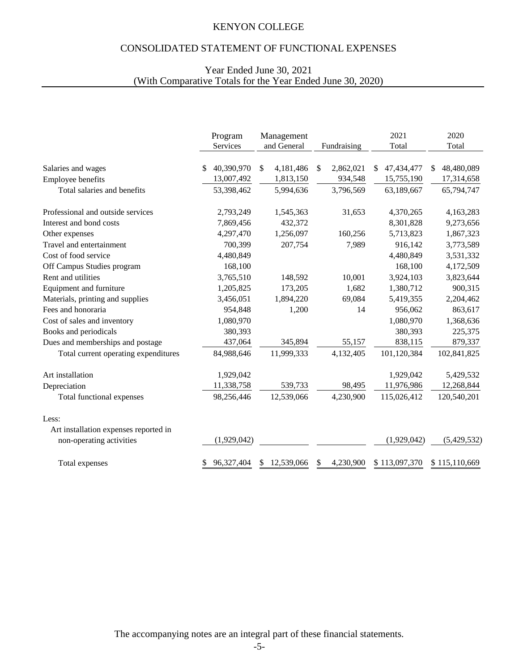# CONSOLIDATED STATEMENT OF FUNCTIONAL EXPENSES

# Year Ended June 30, 2021 (With Comparative Totals for the Year Ended June 30, 2020)

|                                       | Program<br>Services | Management<br>and General | Fundraising     | 2021<br>Total    | 2020<br>Total    |
|---------------------------------------|---------------------|---------------------------|-----------------|------------------|------------------|
| Salaries and wages                    | 40,390,970<br>\$    | \$<br>4,181,486           | 2,862,021<br>\$ | 47,434,477<br>\$ | 48,480,089<br>S. |
| <b>Employee benefits</b>              | 13,007,492          | 1,813,150                 | 934,548         | 15,755,190       | 17,314,658       |
| Total salaries and benefits           | 53,398,462          | 5,994,636                 | 3,796,569       | 63,189,667       | 65,794,747       |
| Professional and outside services     | 2,793,249           | 1,545,363                 | 31,653          | 4,370,265        | 4,163,283        |
| Interest and bond costs               | 7,869,456           | 432,372                   |                 | 8,301,828        | 9,273,656        |
| Other expenses                        | 4,297,470           | 1,256,097                 | 160,256         | 5,713,823        | 1,867,323        |
| Travel and entertainment              | 700,399             | 207,754                   | 7,989           | 916,142          | 3,773,589        |
| Cost of food service                  | 4,480,849           |                           |                 | 4,480,849        | 3,531,332        |
| Off Campus Studies program            | 168,100             |                           |                 | 168,100          | 4,172,509        |
| Rent and utilities                    | 3,765,510           | 148,592                   | 10,001          | 3,924,103        | 3,823,644        |
| Equipment and furniture               | 1,205,825           | 173,205                   | 1,682           | 1,380,712        | 900,315          |
| Materials, printing and supplies      | 3,456,051           | 1,894,220                 | 69,084          | 5,419,355        | 2,204,462        |
| Fees and honoraria                    | 954,848             | 1,200                     | 14              | 956,062          | 863,617          |
| Cost of sales and inventory           | 1,080,970           |                           |                 | 1,080,970        | 1,368,636        |
| Books and periodicals                 | 380,393             |                           |                 | 380,393          | 225,375          |
| Dues and memberships and postage      | 437,064             | 345,894                   | 55,157          | 838,115          | 879,337          |
| Total current operating expenditures  | 84,988,646          | 11,999,333                | 4,132,405       | 101,120,384      | 102,841,825      |
| Art installation                      | 1,929,042           |                           |                 | 1,929,042        | 5,429,532        |
| Depreciation                          | 11,338,758          | 539,733                   | 98,495          | 11,976,986       | 12,268,844       |
| Total functional expenses             | 98,256,446          | 12,539,066                | 4,230,900       | 115,026,412      | 120,540,201      |
| Less:                                 |                     |                           |                 |                  |                  |
| Art installation expenses reported in |                     |                           |                 |                  |                  |
| non-operating activities              | (1,929,042)         |                           |                 | (1,929,042)      | (5,429,532)      |
| Total expenses                        | 96,327,404          | 12,539,066<br>S           | 4,230,900       | \$113,097,370    | \$115,110,669    |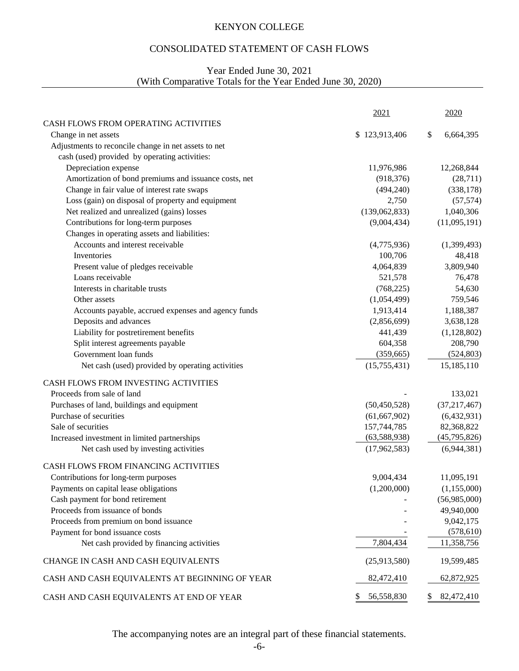# CONSOLIDATED STATEMENT OF CASH FLOWS

# Year Ended June 30, 2021 (With Comparative Totals for the Year Ended June 30, 2020)

|                                                       | 2021           | 2020            |
|-------------------------------------------------------|----------------|-----------------|
| CASH FLOWS FROM OPERATING ACTIVITIES                  |                |                 |
| Change in net assets                                  | \$123,913,406  | \$<br>6,664,395 |
| Adjustments to reconcile change in net assets to net  |                |                 |
| cash (used) provided by operating activities:         |                |                 |
| Depreciation expense                                  | 11,976,986     | 12,268,844      |
| Amortization of bond premiums and issuance costs, net | (918, 376)     | (28, 711)       |
| Change in fair value of interest rate swaps           | (494, 240)     | (338, 178)      |
| Loss (gain) on disposal of property and equipment     | 2,750          | (57, 574)       |
| Net realized and unrealized (gains) losses            | (139,062,833)  | 1,040,306       |
| Contributions for long-term purposes                  | (9,004,434)    | (11,095,191)    |
| Changes in operating assets and liabilities:          |                |                 |
| Accounts and interest receivable                      | (4,775,936)    | (1,399,493)     |
| Inventories                                           | 100,706        | 48,418          |
| Present value of pledges receivable                   | 4,064,839      | 3,809,940       |
| Loans receivable                                      | 521,578        | 76,478          |
| Interests in charitable trusts                        | (768, 225)     | 54,630          |
| Other assets                                          | (1,054,499)    | 759,546         |
| Accounts payable, accrued expenses and agency funds   | 1,913,414      | 1,188,387       |
| Deposits and advances                                 | (2,856,699)    | 3,638,128       |
| Liability for postretirement benefits                 | 441,439        | (1,128,802)     |
| Split interest agreements payable                     | 604,358        | 208,790         |
| Government loan funds                                 | (359, 665)     | (524, 803)      |
| Net cash (used) provided by operating activities      | (15,755,431)   | 15,185,110      |
| CASH FLOWS FROM INVESTING ACTIVITIES                  |                |                 |
| Proceeds from sale of land                            |                | 133,021         |
| Purchases of land, buildings and equipment            | (50, 450, 528) | (37, 217, 467)  |
| Purchase of securities                                | (61, 667, 902) | (6,432,931)     |
| Sale of securities                                    | 157,744,785    | 82,368,822      |
| Increased investment in limited partnerships          | (63,588,938)   | (45,795,826)    |
| Net cash used by investing activities                 | (17,962,583)   | (6,944,381)     |
| CASH FLOWS FROM FINANCING ACTIVITIES                  |                |                 |
| Contributions for long-term purposes                  | 9,004,434      | 11,095,191      |
| Payments on capital lease obligations                 | (1,200,000)    | (1,155,000)     |
| Cash payment for bond retirement                      |                | (56,985,000)    |
| Proceeds from issuance of bonds                       |                | 49,940,000      |
| Proceeds from premium on bond issuance                |                | 9,042,175       |
| Payment for bond issuance costs                       |                | (578, 610)      |
| Net cash provided by financing activities             | 7,804,434      | 11,358,756      |
| CHANGE IN CASH AND CASH EQUIVALENTS                   | (25,913,580)   | 19,599,485      |
| CASH AND CASH EQUIVALENTS AT BEGINNING OF YEAR        | 82,472,410     | 62,872,925      |
| CASH AND CASH EQUIVALENTS AT END OF YEAR              | 56,558,830     | 82,472,410      |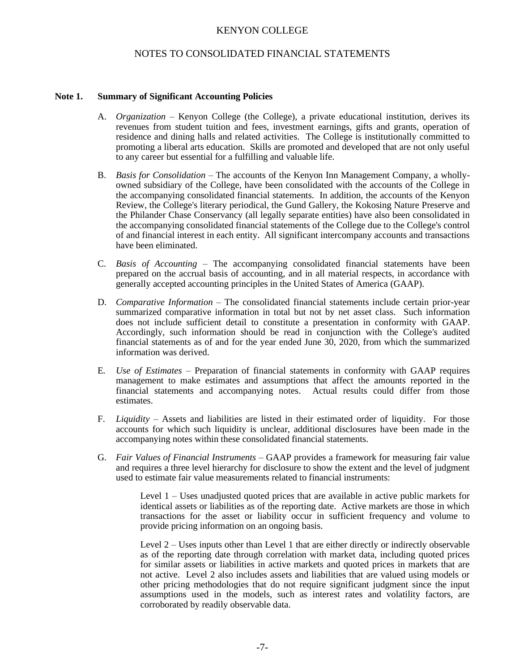# NOTES TO CONSOLIDATED FINANCIAL STATEMENTS

#### **Note 1. Summary of Significant Accounting Policies**

- A. *Organization* Kenyon College (the College), a private educational institution, derives its revenues from student tuition and fees, investment earnings, gifts and grants, operation of residence and dining halls and related activities. The College is institutionally committed to promoting a liberal arts education. Skills are promoted and developed that are not only useful to any career but essential for a fulfilling and valuable life.
- B. *Basis for Consolidation* The accounts of the Kenyon Inn Management Company, a whollyowned subsidiary of the College, have been consolidated with the accounts of the College in the accompanying consolidated financial statements. In addition, the accounts of the Kenyon Review, the College's literary periodical, the Gund Gallery, the Kokosing Nature Preserve and the Philander Chase Conservancy (all legally separate entities) have also been consolidated in the accompanying consolidated financial statements of the College due to the College's control of and financial interest in each entity. All significant intercompany accounts and transactions have been eliminated.
- C. *Basis of Accounting* The accompanying consolidated financial statements have been prepared on the accrual basis of accounting, and in all material respects, in accordance with generally accepted accounting principles in the United States of America (GAAP).
- D. *Comparative Information* The consolidated financial statements include certain prior-year summarized comparative information in total but not by net asset class. Such information does not include sufficient detail to constitute a presentation in conformity with GAAP. Accordingly, such information should be read in conjunction with the College's audited financial statements as of and for the year ended June 30, 2020, from which the summarized information was derived.
- E*. Use of Estimates* Preparation of financial statements in conformity with GAAP requires management to make estimates and assumptions that affect the amounts reported in the financial statements and accompanying notes. Actual results could differ from those estimates.
- F. *Liquidity* Assets and liabilities are listed in their estimated order of liquidity. For those accounts for which such liquidity is unclear, additional disclosures have been made in the accompanying notes within these consolidated financial statements.
- G. *Fair Values of Financial Instruments* GAAP provides a framework for measuring fair value and requires a three level hierarchy for disclosure to show the extent and the level of judgment used to estimate fair value measurements related to financial instruments:

Level 1 – Uses unadjusted quoted prices that are available in active public markets for identical assets or liabilities as of the reporting date. Active markets are those in which transactions for the asset or liability occur in sufficient frequency and volume to provide pricing information on an ongoing basis.

Level 2 – Uses inputs other than Level 1 that are either directly or indirectly observable as of the reporting date through correlation with market data, including quoted prices for similar assets or liabilities in active markets and quoted prices in markets that are not active. Level 2 also includes assets and liabilities that are valued using models or other pricing methodologies that do not require significant judgment since the input assumptions used in the models, such as interest rates and volatility factors, are corroborated by readily observable data.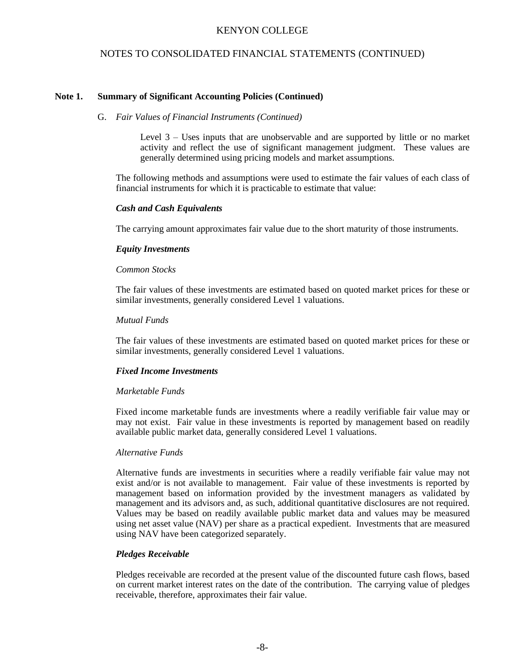## NOTES TO CONSOLIDATED FINANCIAL STATEMENTS (CONTINUED)

#### **Note 1. Summary of Significant Accounting Policies (Continued)**

#### G. *Fair Values of Financial Instruments (Continued)*

Level 3 – Uses inputs that are unobservable and are supported by little or no market activity and reflect the use of significant management judgment. These values are generally determined using pricing models and market assumptions.

The following methods and assumptions were used to estimate the fair values of each class of financial instruments for which it is practicable to estimate that value:

#### *Cash and Cash Equivalents*

The carrying amount approximates fair value due to the short maturity of those instruments.

#### *Equity Investments*

#### *Common Stocks*

The fair values of these investments are estimated based on quoted market prices for these or similar investments, generally considered Level 1 valuations.

#### *Mutual Funds*

The fair values of these investments are estimated based on quoted market prices for these or similar investments, generally considered Level 1 valuations.

#### *Fixed Income Investments*

#### *Marketable Funds*

Fixed income marketable funds are investments where a readily verifiable fair value may or may not exist. Fair value in these investments is reported by management based on readily available public market data, generally considered Level 1 valuations.

#### *Alternative Funds*

Alternative funds are investments in securities where a readily verifiable fair value may not exist and/or is not available to management. Fair value of these investments is reported by management based on information provided by the investment managers as validated by management and its advisors and, as such, additional quantitative disclosures are not required. Values may be based on readily available public market data and values may be measured using net asset value (NAV) per share as a practical expedient. Investments that are measured using NAV have been categorized separately.

#### *Pledges Receivable*

Pledges receivable are recorded at the present value of the discounted future cash flows, based on current market interest rates on the date of the contribution. The carrying value of pledges receivable, therefore, approximates their fair value.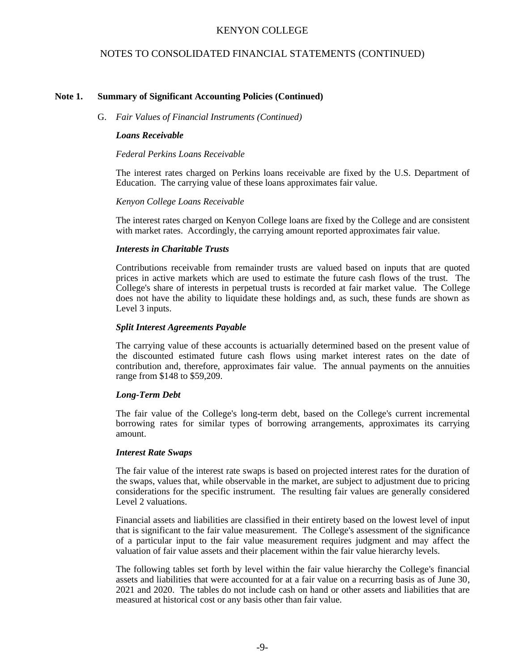# NOTES TO CONSOLIDATED FINANCIAL STATEMENTS (CONTINUED)

#### **Note 1. Summary of Significant Accounting Policies (Continued)**

#### G. *Fair Values of Financial Instruments (Continued)*

#### *Loans Receivable*

#### *Federal Perkins Loans Receivable*

The interest rates charged on Perkins loans receivable are fixed by the U.S. Department of Education. The carrying value of these loans approximates fair value.

#### *Kenyon College Loans Receivable*

The interest rates charged on Kenyon College loans are fixed by the College and are consistent with market rates. Accordingly, the carrying amount reported approximates fair value.

#### *Interests in Charitable Trusts*

Contributions receivable from remainder trusts are valued based on inputs that are quoted prices in active markets which are used to estimate the future cash flows of the trust. The College's share of interests in perpetual trusts is recorded at fair market value. The College does not have the ability to liquidate these holdings and, as such, these funds are shown as Level 3 inputs.

#### *Split Interest Agreements Payable*

The carrying value of these accounts is actuarially determined based on the present value of the discounted estimated future cash flows using market interest rates on the date of contribution and, therefore, approximates fair value. The annual payments on the annuities range from \$148 to \$59,209.

#### *Long-Term Debt*

The fair value of the College's long-term debt, based on the College's current incremental borrowing rates for similar types of borrowing arrangements, approximates its carrying amount.

#### *Interest Rate Swaps*

The fair value of the interest rate swaps is based on projected interest rates for the duration of the swaps, values that, while observable in the market, are subject to adjustment due to pricing considerations for the specific instrument. The resulting fair values are generally considered Level 2 valuations.

Financial assets and liabilities are classified in their entirety based on the lowest level of input that is significant to the fair value measurement. The College's assessment of the significance of a particular input to the fair value measurement requires judgment and may affect the valuation of fair value assets and their placement within the fair value hierarchy levels.

The following tables set forth by level within the fair value hierarchy the College's financial assets and liabilities that were accounted for at a fair value on a recurring basis as of June 30, 2021 and 2020. The tables do not include cash on hand or other assets and liabilities that are measured at historical cost or any basis other than fair value.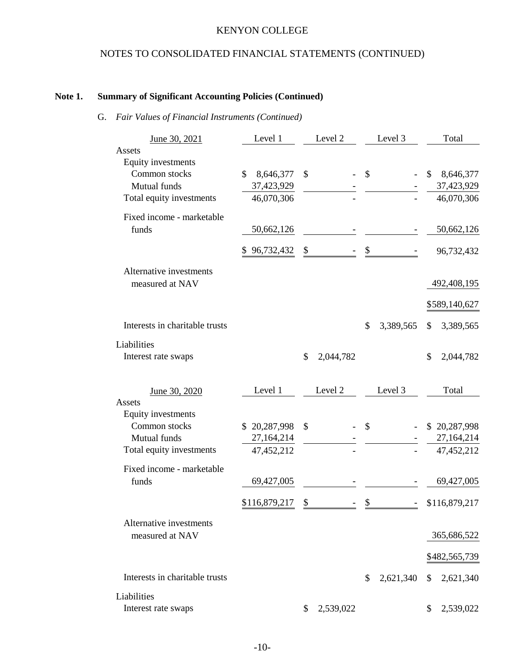# NOTES TO CONSOLIDATED FINANCIAL STATEMENTS (CONTINUED)

# **Note 1. Summary of Significant Accounting Policies (Continued)**

# G. *Fair Values of Financial Instruments (Continued)*

| June 30, 2021                              | Level 1         | Level 2         | Level 3                                   | Total                      |
|--------------------------------------------|-----------------|-----------------|-------------------------------------------|----------------------------|
| Assets<br>Equity investments               |                 |                 |                                           |                            |
| Common stocks                              | \$<br>8,646,377 | \$<br>$ \,$     | $\mathcal{S}$<br>$\overline{\phantom{a}}$ | $\mathcal{S}$<br>8,646,377 |
| Mutual funds                               | 37,423,929      |                 |                                           | 37,423,929                 |
| Total equity investments                   | 46,070,306      |                 |                                           | 46,070,306                 |
| Fixed income - marketable                  |                 |                 |                                           |                            |
| funds                                      | 50,662,126      |                 |                                           | 50,662,126                 |
|                                            | \$96,732,432    | \$              | \$                                        | 96,732,432                 |
| Alternative investments<br>measured at NAV |                 |                 |                                           | 492,408,195                |
|                                            |                 |                 |                                           | \$589,140,627              |
| Interests in charitable trusts             |                 |                 | \$<br>3,389,565                           | \$<br>3,389,565            |
| Liabilities                                |                 |                 |                                           |                            |
| Interest rate swaps                        |                 | \$<br>2,044,782 |                                           | \$<br>2,044,782            |
| <u>June 30, 2020</u>                       | Level 1         | Level 2         | Level 3                                   | Total                      |
| Assets                                     |                 |                 |                                           |                            |
| Equity investments                         |                 |                 |                                           |                            |
| Common stocks                              | \$20,287,998    | \$              | \$                                        | \$20,287,998               |
| Mutual funds                               | 27,164,214      |                 |                                           | 27,164,214                 |
| Total equity investments                   | 47,452,212      |                 |                                           | 47,452,212                 |
| Fixed income - marketable<br>funds         | 69,427,005      |                 |                                           | 69,427,005                 |
|                                            |                 |                 |                                           |                            |
|                                            | \$116,879,217   | \$              | \$                                        | \$116,879,217              |
| Alternative investments                    |                 |                 |                                           |                            |
| measured at NAV                            |                 |                 |                                           | 365,686,522                |
|                                            |                 |                 |                                           | \$482,565,739              |
| Interests in charitable trusts             |                 |                 | $\mathbb{S}$<br>2,621,340                 | $\mathbb{S}$<br>2,621,340  |
|                                            |                 |                 |                                           |                            |
| Liabilities                                |                 |                 |                                           |                            |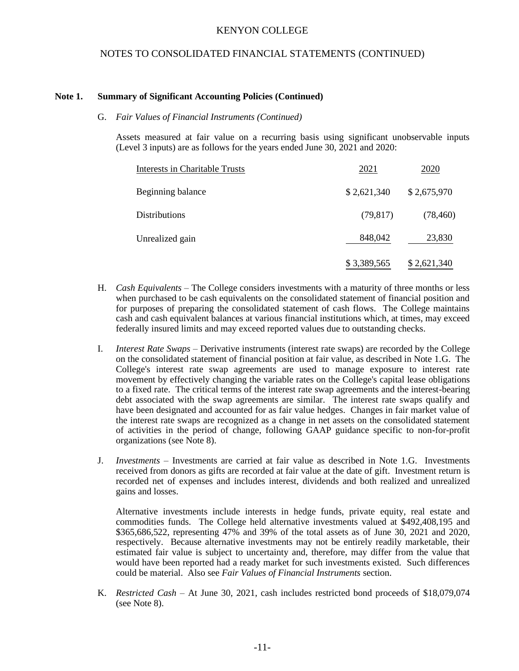### NOTES TO CONSOLIDATED FINANCIAL STATEMENTS (CONTINUED)

#### **Note 1. Summary of Significant Accounting Policies (Continued)**

#### G. *Fair Values of Financial Instruments (Continued)*

Assets measured at fair value on a recurring basis using significant unobservable inputs (Level 3 inputs) are as follows for the years ended June 30, 2021 and 2020:

| Interests in Charitable Trusts | 2021        | 2020        |
|--------------------------------|-------------|-------------|
| Beginning balance              | \$2,621,340 | \$2,675,970 |
| <b>Distributions</b>           | (79, 817)   | (78, 460)   |
| Unrealized gain                | 848,042     | 23,830      |
|                                | \$3,389,565 | \$2,621,340 |

- H. *Cash Equivalents* The College considers investments with a maturity of three months or less when purchased to be cash equivalents on the consolidated statement of financial position and for purposes of preparing the consolidated statement of cash flows. The College maintains cash and cash equivalent balances at various financial institutions which, at times, may exceed federally insured limits and may exceed reported values due to outstanding checks.
- I. *Interest Rate Swaps* Derivative instruments (interest rate swaps) are recorded by the College on the consolidated statement of financial position at fair value, as described in Note 1.G. The College's interest rate swap agreements are used to manage exposure to interest rate movement by effectively changing the variable rates on the College's capital lease obligations to a fixed rate. The critical terms of the interest rate swap agreements and the interest-bearing debt associated with the swap agreements are similar. The interest rate swaps qualify and have been designated and accounted for as fair value hedges. Changes in fair market value of the interest rate swaps are recognized as a change in net assets on the consolidated statement of activities in the period of change, following GAAP guidance specific to non-for-profit organizations (see Note 8).
- J. *Investments* Investments are carried at fair value as described in Note 1.G. Investments received from donors as gifts are recorded at fair value at the date of gift. Investment return is recorded net of expenses and includes interest, dividends and both realized and unrealized gains and losses.

Alternative investments include interests in hedge funds, private equity, real estate and commodities funds. The College held alternative investments valued at \$492,408,195 and \$365,686,522, representing 47% and 39% of the total assets as of June 30, 2021 and 2020, respectively. Because alternative investments may not be entirely readily marketable, their estimated fair value is subject to uncertainty and, therefore, may differ from the value that would have been reported had a ready market for such investments existed. Such differences could be material. Also see *Fair Values of Financial Instruments* section.

K. *Restricted Cash* – At June 30, 2021, cash includes restricted bond proceeds of \$18,079,074 (see Note 8).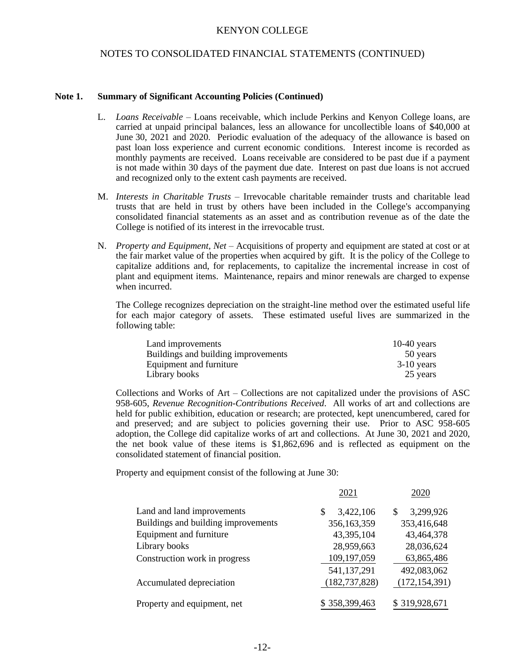### NOTES TO CONSOLIDATED FINANCIAL STATEMENTS (CONTINUED)

#### **Note 1. Summary of Significant Accounting Policies (Continued)**

- L. *Loans Receivable* Loans receivable, which include Perkins and Kenyon College loans, are carried at unpaid principal balances, less an allowance for uncollectible loans of \$40,000 at June 30, 2021 and 2020. Periodic evaluation of the adequacy of the allowance is based on past loan loss experience and current economic conditions. Interest income is recorded as monthly payments are received. Loans receivable are considered to be past due if a payment is not made within 30 days of the payment due date. Interest on past due loans is not accrued and recognized only to the extent cash payments are received.
- M. *Interests in Charitable Trusts* Irrevocable charitable remainder trusts and charitable lead trusts that are held in trust by others have been included in the College's accompanying consolidated financial statements as an asset and as contribution revenue as of the date the College is notified of its interest in the irrevocable trust.
- N. *Property and Equipment, Net* Acquisitions of property and equipment are stated at cost or at the fair market value of the properties when acquired by gift. It is the policy of the College to capitalize additions and, for replacements, to capitalize the incremental increase in cost of plant and equipment items. Maintenance, repairs and minor renewals are charged to expense when incurred.

The College recognizes depreciation on the straight-line method over the estimated useful life for each major category of assets. These estimated useful lives are summarized in the following table:

| Land improvements                   | 10-40 years  |
|-------------------------------------|--------------|
| Buildings and building improvements | 50 years     |
| Equipment and furniture             | $3-10$ years |
| Library books                       | 25 years     |

Collections and Works of Art – Collections are not capitalized under the provisions of ASC 958-605, *Revenue Recognition-Contributions Received*. All works of art and collections are held for public exhibition, education or research; are protected, kept unencumbered, cared for and preserved; and are subject to policies governing their use. Prior to ASC 958-605 adoption, the College did capitalize works of art and collections. At June 30, 2021 and 2020, the net book value of these items is \$1,862,696 and is reflected as equipment on the consolidated statement of financial position.

Property and equipment consist of the following at June 30:

|                                     | 2021            | 2020            |
|-------------------------------------|-----------------|-----------------|
| Land and land improvements          | 3,422,106<br>\$ | 3,299,926<br>S  |
| Buildings and building improvements | 356,163,359     | 353,416,648     |
| Equipment and furniture             | 43,395,104      | 43,464,378      |
| Library books                       | 28,959,663      | 28,036,624      |
| Construction work in progress       | 109,197,059     | 63,865,486      |
|                                     | 541,137,291     | 492,083,062     |
| Accumulated depreciation            | (182, 737, 828) | (172, 154, 391) |
| Property and equipment, net         | \$358,399,463   | \$319,928,671   |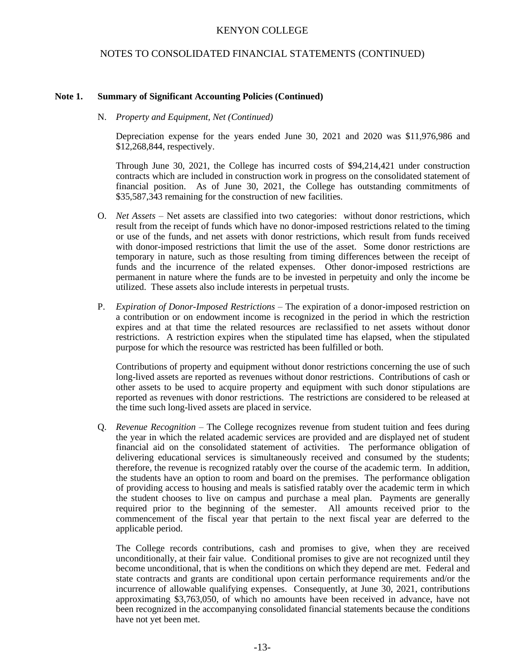### NOTES TO CONSOLIDATED FINANCIAL STATEMENTS (CONTINUED)

#### **Note 1. Summary of Significant Accounting Policies (Continued)**

N. *Property and Equipment, Net (Continued)*

Depreciation expense for the years ended June 30, 2021 and 2020 was \$11,976,986 and \$12,268,844, respectively.

Through June 30, 2021, the College has incurred costs of \$94,214,421 under construction contracts which are included in construction work in progress on the consolidated statement of financial position. As of June 30, 2021, the College has outstanding commitments of \$35,587,343 remaining for the construction of new facilities.

- O. *Net Assets* Net assets are classified into two categories: without donor restrictions, which result from the receipt of funds which have no donor-imposed restrictions related to the timing or use of the funds, and net assets with donor restrictions, which result from funds received with donor-imposed restrictions that limit the use of the asset. Some donor restrictions are temporary in nature, such as those resulting from timing differences between the receipt of funds and the incurrence of the related expenses. Other donor-imposed restrictions are permanent in nature where the funds are to be invested in perpetuity and only the income be utilized. These assets also include interests in perpetual trusts.
- P. *Expiration of Donor-Imposed Restrictions* The expiration of a donor-imposed restriction on a contribution or on endowment income is recognized in the period in which the restriction expires and at that time the related resources are reclassified to net assets without donor restrictions. A restriction expires when the stipulated time has elapsed, when the stipulated purpose for which the resource was restricted has been fulfilled or both.

Contributions of property and equipment without donor restrictions concerning the use of such long-lived assets are reported as revenues without donor restrictions. Contributions of cash or other assets to be used to acquire property and equipment with such donor stipulations are reported as revenues with donor restrictions. The restrictions are considered to be released at the time such long-lived assets are placed in service.

Q. *Revenue Recognition –* The College recognizes revenue from student tuition and fees during the year in which the related academic services are provided and are displayed net of student financial aid on the consolidated statement of activities. The performance obligation of delivering educational services is simultaneously received and consumed by the students; therefore, the revenue is recognized ratably over the course of the academic term. In addition, the students have an option to room and board on the premises. The performance obligation of providing access to housing and meals is satisfied ratably over the academic term in which the student chooses to live on campus and purchase a meal plan. Payments are generally required prior to the beginning of the semester. All amounts received prior to the commencement of the fiscal year that pertain to the next fiscal year are deferred to the applicable period.

The College records contributions, cash and promises to give, when they are received unconditionally, at their fair value. Conditional promises to give are not recognized until they become unconditional, that is when the conditions on which they depend are met. Federal and state contracts and grants are conditional upon certain performance requirements and/or the incurrence of allowable qualifying expenses. Consequently, at June 30, 2021, contributions approximating \$3,763,050, of which no amounts have been received in advance, have not been recognized in the accompanying consolidated financial statements because the conditions have not yet been met.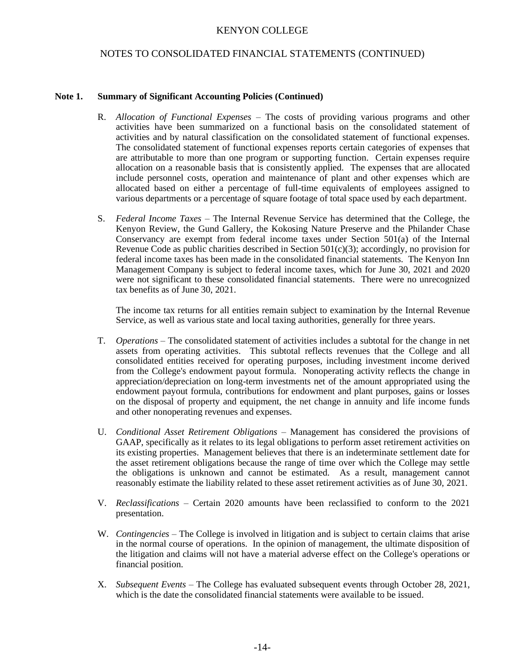## NOTES TO CONSOLIDATED FINANCIAL STATEMENTS (CONTINUED)

#### **Note 1. Summary of Significant Accounting Policies (Continued)**

- R. *Allocation of Functional Expenses* The costs of providing various programs and other activities have been summarized on a functional basis on the consolidated statement of activities and by natural classification on the consolidated statement of functional expenses. The consolidated statement of functional expenses reports certain categories of expenses that are attributable to more than one program or supporting function. Certain expenses require allocation on a reasonable basis that is consistently applied. The expenses that are allocated include personnel costs, operation and maintenance of plant and other expenses which are allocated based on either a percentage of full-time equivalents of employees assigned to various departments or a percentage of square footage of total space used by each department.
- S. *Federal Income Taxes* The Internal Revenue Service has determined that the College, the Kenyon Review, the Gund Gallery, the Kokosing Nature Preserve and the Philander Chase Conservancy are exempt from federal income taxes under Section 501(a) of the Internal Revenue Code as public charities described in Section  $501(c)(3)$ ; accordingly, no provision for federal income taxes has been made in the consolidated financial statements. The Kenyon Inn Management Company is subject to federal income taxes, which for June 30, 2021 and 2020 were not significant to these consolidated financial statements. There were no unrecognized tax benefits as of June 30, 2021.

The income tax returns for all entities remain subject to examination by the Internal Revenue Service, as well as various state and local taxing authorities, generally for three years.

- T. *Operations* The consolidated statement of activities includes a subtotal for the change in net assets from operating activities. This subtotal reflects revenues that the College and all consolidated entities received for operating purposes, including investment income derived from the College's endowment payout formula. Nonoperating activity reflects the change in appreciation/depreciation on long-term investments net of the amount appropriated using the endowment payout formula, contributions for endowment and plant purposes, gains or losses on the disposal of property and equipment, the net change in annuity and life income funds and other nonoperating revenues and expenses.
- U. *Conditional Asset Retirement Obligations* Management has considered the provisions of GAAP, specifically as it relates to its legal obligations to perform asset retirement activities on its existing properties. Management believes that there is an indeterminate settlement date for the asset retirement obligations because the range of time over which the College may settle the obligations is unknown and cannot be estimated. As a result, management cannot reasonably estimate the liability related to these asset retirement activities as of June 30, 2021.
- V. *Reclassifications* Certain 2020 amounts have been reclassified to conform to the 2021 presentation.
- W. *Contingencies* The College is involved in litigation and is subject to certain claims that arise in the normal course of operations. In the opinion of management, the ultimate disposition of the litigation and claims will not have a material adverse effect on the College's operations or financial position.
- X. *Subsequent Events* The College has evaluated subsequent events through October 28, 2021, which is the date the consolidated financial statements were available to be issued.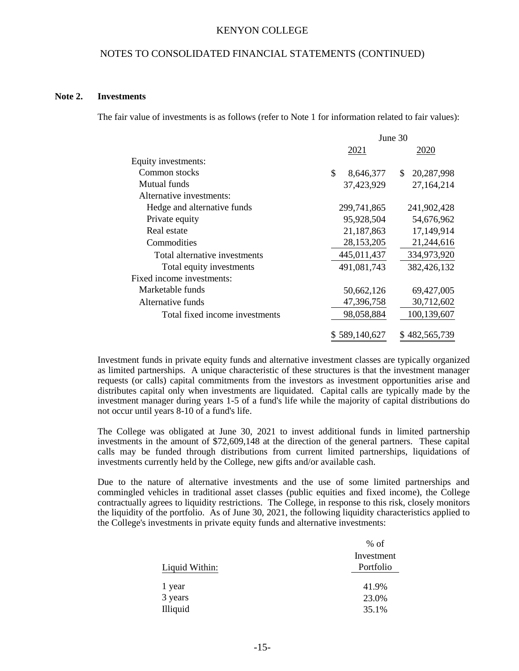#### NOTES TO CONSOLIDATED FINANCIAL STATEMENTS (CONTINUED)

#### **Note 2. Investments**

The fair value of investments is as follows (refer to Note 1 for information related to fair values):

|                                | June 30 |               |      |               |
|--------------------------------|---------|---------------|------|---------------|
|                                |         | 2021          | 2020 |               |
| Equity investments:            |         |               |      |               |
| Common stocks                  | \$      | 8,646,377     | \$.  | 20,287,998    |
| Mutual funds                   |         | 37,423,929    |      | 27,164,214    |
| Alternative investments:       |         |               |      |               |
| Hedge and alternative funds    |         | 299,741,865   |      | 241,902,428   |
| Private equity                 |         | 95,928,504    |      | 54,676,962    |
| Real estate                    |         | 21,187,863    |      | 17,149,914    |
| Commodities                    |         | 28,153,205    |      | 21,244,616    |
| Total alternative investments  |         | 445,011,437   |      | 334,973,920   |
| Total equity investments       |         | 491,081,743   |      | 382,426,132   |
| Fixed income investments:      |         |               |      |               |
| Marketable funds               |         | 50,662,126    |      | 69,427,005    |
| Alternative funds              |         | 47,396,758    |      | 30,712,602    |
| Total fixed income investments |         | 98,058,884    |      | 100,139,607   |
|                                |         | \$589,140,627 |      | \$482,565,739 |

Investment funds in private equity funds and alternative investment classes are typically organized as limited partnerships. A unique characteristic of these structures is that the investment manager requests (or calls) capital commitments from the investors as investment opportunities arise and distributes capital only when investments are liquidated. Capital calls are typically made by the investment manager during years 1-5 of a fund's life while the majority of capital distributions do not occur until years 8-10 of a fund's life.

The College was obligated at June 30, 2021 to invest additional funds in limited partnership investments in the amount of \$72,609,148 at the direction of the general partners. These capital calls may be funded through distributions from current limited partnerships, liquidations of investments currently held by the College, new gifts and/or available cash.

Due to the nature of alternative investments and the use of some limited partnerships and commingled vehicles in traditional asset classes (public equities and fixed income), the College contractually agrees to liquidity restrictions. The College, in response to this risk, closely monitors the liquidity of the portfolio. As of June 30, 2021, the following liquidity characteristics applied to the College's investments in private equity funds and alternative investments:

|                | $%$ of     |
|----------------|------------|
|                | Investment |
| Liquid Within: | Portfolio  |
|                |            |
| 1 year         | 41.9%      |
| 3 years        | 23.0%      |
| Illiquid       | 35.1%      |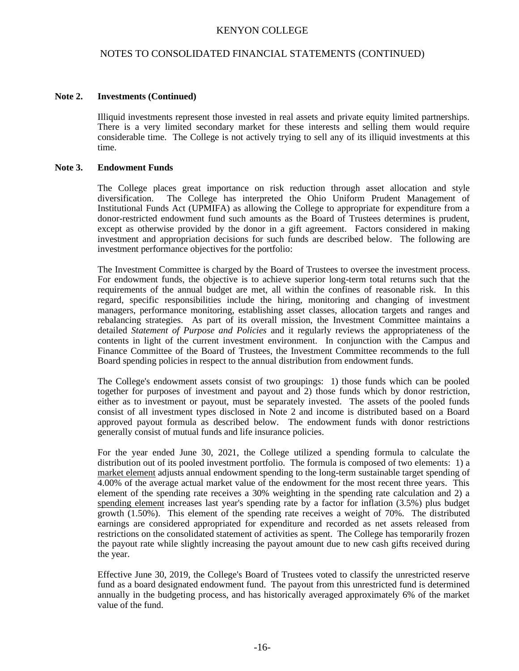### NOTES TO CONSOLIDATED FINANCIAL STATEMENTS (CONTINUED)

#### **Note 2. Investments (Continued)**

Illiquid investments represent those invested in real assets and private equity limited partnerships. There is a very limited secondary market for these interests and selling them would require considerable time. The College is not actively trying to sell any of its illiquid investments at this time.

#### **Note 3. Endowment Funds**

The College places great importance on risk reduction through asset allocation and style diversification. The College has interpreted the Ohio Uniform Prudent Management of Institutional Funds Act (UPMIFA) as allowing the College to appropriate for expenditure from a donor-restricted endowment fund such amounts as the Board of Trustees determines is prudent, except as otherwise provided by the donor in a gift agreement. Factors considered in making investment and appropriation decisions for such funds are described below. The following are investment performance objectives for the portfolio:

The Investment Committee is charged by the Board of Trustees to oversee the investment process. For endowment funds, the objective is to achieve superior long-term total returns such that the requirements of the annual budget are met, all within the confines of reasonable risk. In this regard, specific responsibilities include the hiring, monitoring and changing of investment managers, performance monitoring, establishing asset classes, allocation targets and ranges and rebalancing strategies. As part of its overall mission, the Investment Committee maintains a detailed *Statement of Purpose and Policies* and it regularly reviews the appropriateness of the contents in light of the current investment environment. In conjunction with the Campus and Finance Committee of the Board of Trustees, the Investment Committee recommends to the full Board spending policies in respect to the annual distribution from endowment funds.

The College's endowment assets consist of two groupings: 1) those funds which can be pooled together for purposes of investment and payout and 2) those funds which by donor restriction, either as to investment or payout, must be separately invested. The assets of the pooled funds consist of all investment types disclosed in Note 2 and income is distributed based on a Board approved payout formula as described below. The endowment funds with donor restrictions generally consist of mutual funds and life insurance policies.

For the year ended June 30, 2021, the College utilized a spending formula to calculate the distribution out of its pooled investment portfolio. The formula is composed of two elements: 1) a market element adjusts annual endowment spending to the long-term sustainable target spending of 4.00% of the average actual market value of the endowment for the most recent three years. This element of the spending rate receives a 30% weighting in the spending rate calculation and 2) a spending element increases last year's spending rate by a factor for inflation (3.5%) plus budget growth (1.50%). This element of the spending rate receives a weight of 70%. The distributed earnings are considered appropriated for expenditure and recorded as net assets released from restrictions on the consolidated statement of activities as spent. The College has temporarily frozen the payout rate while slightly increasing the payout amount due to new cash gifts received during the year.

Effective June 30, 2019, the College's Board of Trustees voted to classify the unrestricted reserve fund as a board designated endowment fund. The payout from this unrestricted fund is determined annually in the budgeting process, and has historically averaged approximately 6% of the market value of the fund.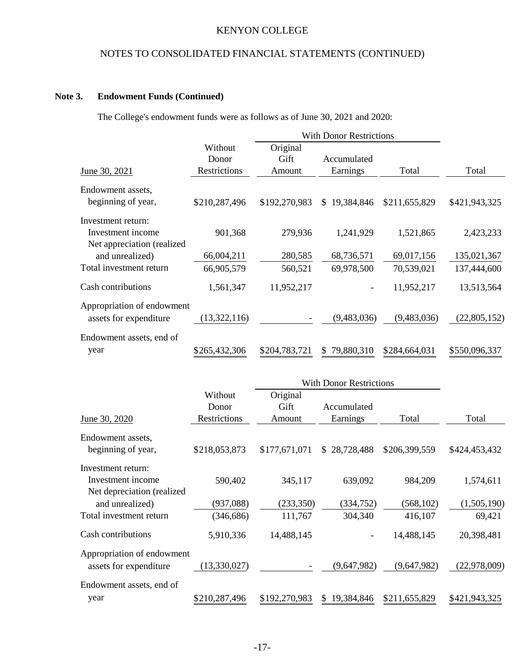# NOTES TO CONSOLIDATED FINANCIAL STATEMENTS (CONTINUED)

# **Note 3. Endowment Funds (Continued)**

The College's endowment funds were as follows as of June 30, 2021 and 2020:

|                                         |               | <b>With Donor Restrictions</b> |                   |               |               |
|-----------------------------------------|---------------|--------------------------------|-------------------|---------------|---------------|
|                                         | Without       | Original                       |                   |               |               |
|                                         | Donor         | Gift                           | Accumulated       |               |               |
| <u>June 30, 2021</u>                    | Restrictions  | Amount                         | Earnings          | Total         | Total         |
| Endowment assets,<br>beginning of year, | \$210,287,496 | \$192,270,983                  | \$19,384,846      | \$211,655,829 | \$421,943,325 |
| Investment return:                      |               |                                |                   |               |               |
| Investment income                       | 901,368       | 279,936                        | 1,241,929         | 1,521,865     | 2,423,233     |
| Net appreciation (realized)             |               |                                |                   |               |               |
| and unrealized)                         | 66,004,211    | 280,585                        | 68,736,571        | 69,017,156    | 135,021,367   |
| Total investment return                 | 66,905,579    | 560,521                        | 69,978,500        | 70,539,021    | 137,444,600   |
| Cash contributions                      | 1,561,347     | 11,952,217                     |                   | 11,952,217    | 13,513,564    |
| Appropriation of endowment              |               |                                |                   |               |               |
| assets for expenditure                  | (13,322,116)  |                                | (9,483,036)       | (9,483,036)   | (22,805,152)  |
| Endowment assets, end of                |               |                                |                   |               |               |
| year                                    | \$265,432,306 | \$204,783,721                  | 79,880,310<br>\$. | \$284,664,031 | \$550,096,337 |

|                             | <b>With Donor Restrictions</b> |               |                   |               |                |
|-----------------------------|--------------------------------|---------------|-------------------|---------------|----------------|
|                             | Without                        | Original      |                   |               |                |
|                             | Donor                          | Gift          | Accumulated       |               |                |
| June 30, 2020               | Restrictions                   | Amount        | Earnings          | Total         | Total          |
| Endowment assets,           |                                |               |                   |               |                |
| beginning of year,          | \$218,053,873                  | \$177,671,071 | \$28,728,488      | \$206,399,559 | \$424,453,432  |
| Investment return:          |                                |               |                   |               |                |
| Investment income           | 590,402                        | 345,117       | 639,092           | 984,209       | 1,574,611      |
| Net depreciation (realized) |                                |               |                   |               |                |
| and unrealized)             | (937, 088)                     | (233,350)     | (334, 752)        | (568, 102)    | (1,505,190)    |
| Total investment return     | (346, 686)                     | 111,767       | 304,340           | 416,107       | 69,421         |
| Cash contributions          | 5,910,336                      | 14,488,145    |                   | 14,488,145    | 20,398,481     |
| Appropriation of endowment  |                                |               |                   |               |                |
| assets for expenditure      | (13,330,027)                   |               | (9,647,982)       | (9,647,982)   | (22, 978, 009) |
| Endowment assets, end of    |                                |               |                   |               |                |
| year                        | \$210,287,496                  | \$192,270,983 | 19,384,846<br>\$. | \$211,655,829 | \$421,943,325  |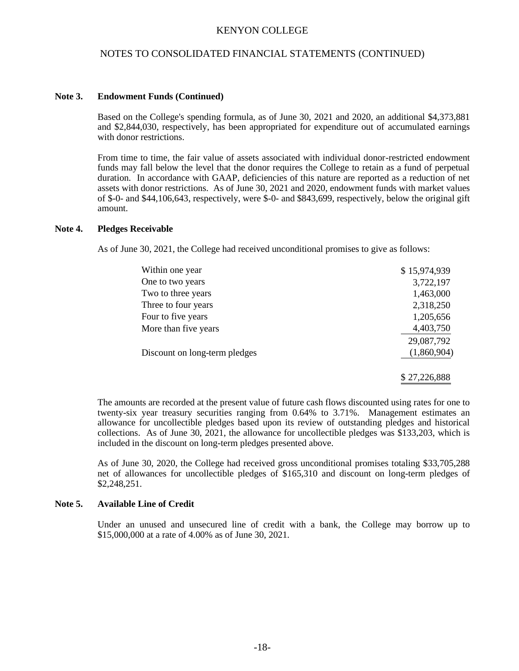# NOTES TO CONSOLIDATED FINANCIAL STATEMENTS (CONTINUED)

#### **Note 3. Endowment Funds (Continued)**

Based on the College's spending formula, as of June 30, 2021 and 2020, an additional \$4,373,881 and \$2,844,030, respectively, has been appropriated for expenditure out of accumulated earnings with donor restrictions.

From time to time, the fair value of assets associated with individual donor-restricted endowment funds may fall below the level that the donor requires the College to retain as a fund of perpetual duration. In accordance with GAAP, deficiencies of this nature are reported as a reduction of net assets with donor restrictions. As of June 30, 2021 and 2020, endowment funds with market values of \$-0- and \$44,106,643, respectively, were \$-0- and \$843,699, respectively, below the original gift amount.

#### **Note 4. Pledges Receivable**

As of June 30, 2021, the College had received unconditional promises to give as follows:

| Within one year               | \$15,974,939 |
|-------------------------------|--------------|
| One to two years              | 3,722,197    |
| Two to three years            | 1,463,000    |
| Three to four years           | 2,318,250    |
| Four to five years            | 1,205,656    |
| More than five years          | 4,403,750    |
|                               | 29,087,792   |
| Discount on long-term pledges | (1,860,904)  |
|                               | \$27,226,888 |

The amounts are recorded at the present value of future cash flows discounted using rates for one to twenty-six year treasury securities ranging from 0.64% to 3.71%. Management estimates an allowance for uncollectible pledges based upon its review of outstanding pledges and historical collections. As of June 30, 2021, the allowance for uncollectible pledges was \$133,203, which is included in the discount on long-term pledges presented above.

As of June 30, 2020, the College had received gross unconditional promises totaling \$33,705,288 net of allowances for uncollectible pledges of \$165,310 and discount on long-term pledges of \$2,248,251.

#### **Note 5. Available Line of Credit**

Under an unused and unsecured line of credit with a bank, the College may borrow up to \$15,000,000 at a rate of 4.00% as of June 30, 2021.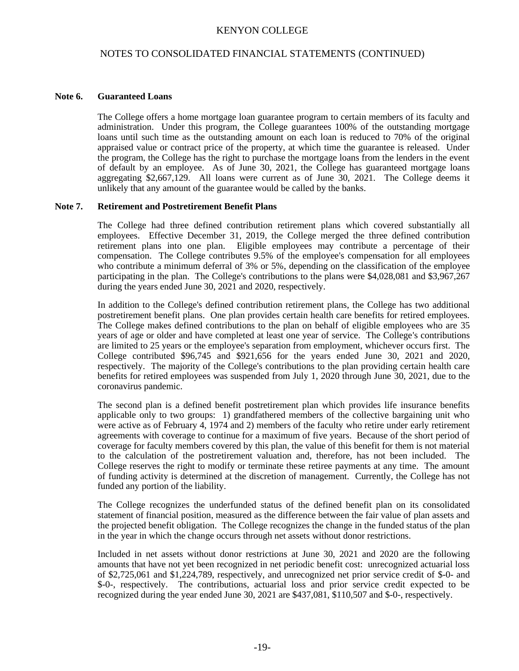## NOTES TO CONSOLIDATED FINANCIAL STATEMENTS (CONTINUED)

#### **Note 6. Guaranteed Loans**

The College offers a home mortgage loan guarantee program to certain members of its faculty and administration. Under this program, the College guarantees 100% of the outstanding mortgage loans until such time as the outstanding amount on each loan is reduced to 70% of the original appraised value or contract price of the property, at which time the guarantee is released. Under the program, the College has the right to purchase the mortgage loans from the lenders in the event of default by an employee. As of June 30, 2021, the College has guaranteed mortgage loans aggregating \$2,667,129. All loans were current as of June 30, 2021. The College deems it unlikely that any amount of the guarantee would be called by the banks.

#### **Note 7. Retirement and Postretirement Benefit Plans**

The College had three defined contribution retirement plans which covered substantially all employees. Effective December 31, 2019, the College merged the three defined contribution retirement plans into one plan. Eligible employees may contribute a percentage of their compensation. The College contributes 9.5% of the employee's compensation for all employees who contribute a minimum deferral of 3% or 5%, depending on the classification of the employee participating in the plan. The College's contributions to the plans were \$4,028,081 and \$3,967,267 during the years ended June 30, 2021 and 2020, respectively.

In addition to the College's defined contribution retirement plans, the College has two additional postretirement benefit plans. One plan provides certain health care benefits for retired employees. The College makes defined contributions to the plan on behalf of eligible employees who are 35 years of age or older and have completed at least one year of service. The College's contributions are limited to 25 years or the employee's separation from employment, whichever occurs first. The College contributed \$96,745 and \$921,656 for the years ended June 30, 2021 and 2020, respectively. The majority of the College's contributions to the plan providing certain health care benefits for retired employees was suspended from July 1, 2020 through June 30, 2021, due to the coronavirus pandemic.

The second plan is a defined benefit postretirement plan which provides life insurance benefits applicable only to two groups: 1) grandfathered members of the collective bargaining unit who were active as of February 4, 1974 and 2) members of the faculty who retire under early retirement agreements with coverage to continue for a maximum of five years. Because of the short period of coverage for faculty members covered by this plan, the value of this benefit for them is not material to the calculation of the postretirement valuation and, therefore, has not been included. The College reserves the right to modify or terminate these retiree payments at any time. The amount of funding activity is determined at the discretion of management. Currently, the College has not funded any portion of the liability.

The College recognizes the underfunded status of the defined benefit plan on its consolidated statement of financial position, measured as the difference between the fair value of plan assets and the projected benefit obligation. The College recognizes the change in the funded status of the plan in the year in which the change occurs through net assets without donor restrictions.

Included in net assets without donor restrictions at June 30, 2021 and 2020 are the following amounts that have not yet been recognized in net periodic benefit cost: unrecognized actuarial loss of \$2,725,061 and \$1,224,789, respectively, and unrecognized net prior service credit of \$-0- and \$-0-, respectively. The contributions, actuarial loss and prior service credit expected to be recognized during the year ended June 30, 2021 are \$437,081, \$110,507 and \$-0-, respectively.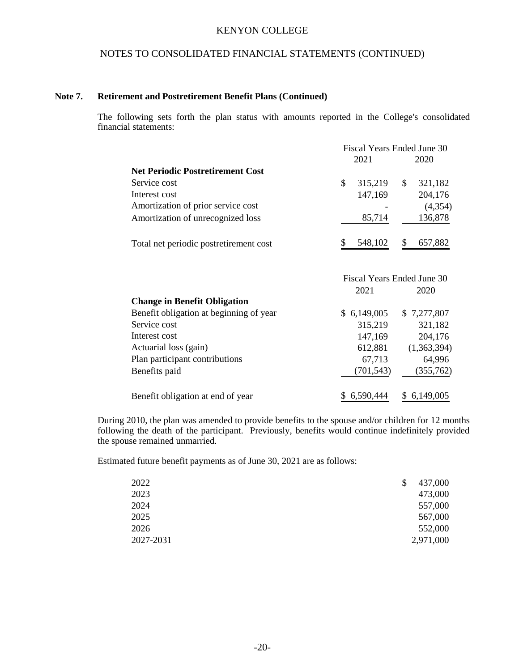# NOTES TO CONSOLIDATED FINANCIAL STATEMENTS (CONTINUED)

#### **Note 7. Retirement and Postretirement Benefit Plans (Continued)**

The following sets forth the plan status with amounts reported in the College's consolidated financial statements:

|                                         | Fiscal Years Ended June 30 |                                    |    |             |
|-----------------------------------------|----------------------------|------------------------------------|----|-------------|
|                                         |                            | 2021                               |    | 2020        |
| <b>Net Periodic Postretirement Cost</b> |                            |                                    |    |             |
| Service cost                            | $\mathcal{S}$              | 315,219                            | \$ | 321,182     |
| Interest cost                           |                            | 147,169                            |    | 204,176     |
| Amortization of prior service cost      |                            |                                    |    | (4,354)     |
| Amortization of unrecognized loss       |                            | 85,714                             |    | 136,878     |
| Total net periodic postretirement cost  | \$                         | 548,102                            | \$ | 657,882     |
|                                         |                            | Fiscal Years Ended June 30<br>2021 |    | 2020        |
| <b>Change in Benefit Obligation</b>     |                            |                                    |    |             |
| Benefit obligation at beginning of year |                            | \$6,149,005                        |    | \$7,277,807 |
| Service cost                            |                            | 315,219                            |    | 321,182     |
| Interest cost                           |                            | 147,169                            |    | 204,176     |
| Actuarial loss (gain)                   |                            | 612,881                            |    | (1,363,394) |
| Plan participant contributions          |                            | 67,713                             |    | 64,996      |
| Benefits paid                           |                            | (701, 543)                         |    | (355,762)   |
| Benefit obligation at end of year       |                            | 6,590,444                          |    | \$6,149,005 |

During 2010, the plan was amended to provide benefits to the spouse and/or children for 12 months following the death of the participant. Previously, benefits would continue indefinitely provided the spouse remained unmarried.

Estimated future benefit payments as of June 30, 2021 are as follows:

| 437,000<br>S |
|--------------|
| 473,000      |
| 557,000      |
| 567,000      |
| 552,000      |
| 2,971,000    |
|              |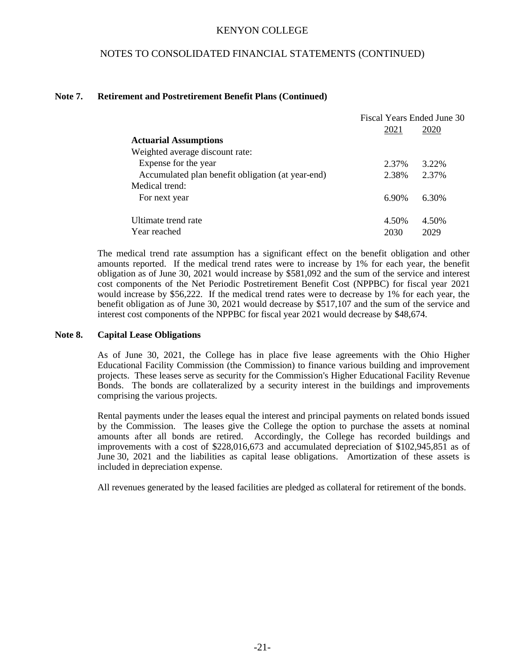## NOTES TO CONSOLIDATED FINANCIAL STATEMENTS (CONTINUED)

#### **Note 7. Retirement and Postretirement Benefit Plans (Continued)**

|                                                   | Fiscal Years Ended June 30 |       |
|---------------------------------------------------|----------------------------|-------|
|                                                   | 2021                       | 2020  |
| <b>Actuarial Assumptions</b>                      |                            |       |
| Weighted average discount rate:                   |                            |       |
| Expense for the year                              | 2.37%                      | 3.22% |
| Accumulated plan benefit obligation (at year-end) | 2.38%                      | 2.37% |
| Medical trend:                                    |                            |       |
| For next year                                     | 6.90%                      | 6.30% |
| Ultimate trend rate                               | 4.50%                      | 4.50% |
| Year reached                                      | 2030                       | 2029  |

The medical trend rate assumption has a significant effect on the benefit obligation and other amounts reported. If the medical trend rates were to increase by 1% for each year, the benefit obligation as of June 30, 2021 would increase by \$581,092 and the sum of the service and interest cost components of the Net Periodic Postretirement Benefit Cost (NPPBC) for fiscal year 2021 would increase by \$56,222. If the medical trend rates were to decrease by 1% for each year, the benefit obligation as of June 30, 2021 would decrease by \$517,107 and the sum of the service and interest cost components of the NPPBC for fiscal year 2021 would decrease by \$48,674.

#### **Note 8. Capital Lease Obligations**

As of June 30, 2021, the College has in place five lease agreements with the Ohio Higher Educational Facility Commission (the Commission) to finance various building and improvement projects. These leases serve as security for the Commission's Higher Educational Facility Revenue Bonds. The bonds are collateralized by a security interest in the buildings and improvements comprising the various projects.

Rental payments under the leases equal the interest and principal payments on related bonds issued by the Commission. The leases give the College the option to purchase the assets at nominal amounts after all bonds are retired. Accordingly, the College has recorded buildings and improvements with a cost of \$228,016,673 and accumulated depreciation of \$102,945,851 as of June 30, 2021 and the liabilities as capital lease obligations. Amortization of these assets is included in depreciation expense.

All revenues generated by the leased facilities are pledged as collateral for retirement of the bonds.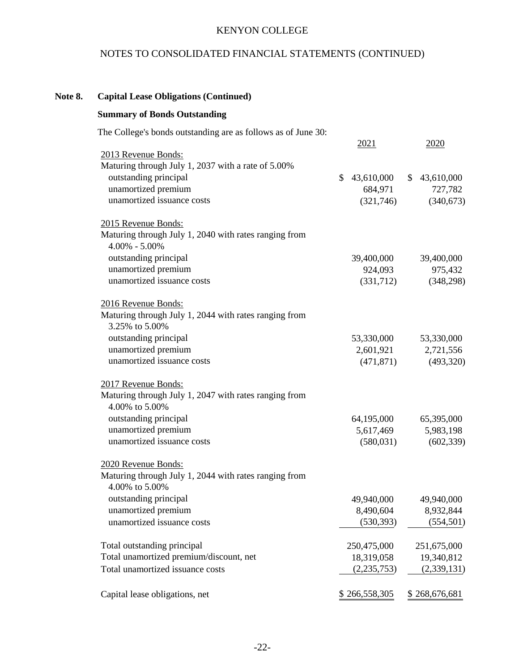# NOTES TO CONSOLIDATED FINANCIAL STATEMENTS (CONTINUED)

# **Note 8. Capital Lease Obligations (Continued)**

# **Summary of Bonds Outstanding**

| The College's bonds outstanding are as follows as of June 30: |
|---------------------------------------------------------------|
|---------------------------------------------------------------|

|                                                                            | 2021             | 2020          |
|----------------------------------------------------------------------------|------------------|---------------|
| 2013 Revenue Bonds:                                                        |                  |               |
| Maturing through July 1, 2037 with a rate of 5.00%                         |                  |               |
| outstanding principal                                                      | \$<br>43,610,000 | \$43,610,000  |
| unamortized premium                                                        | 684,971          | 727,782       |
| unamortized issuance costs                                                 | (321,746)        | (340, 673)    |
| 2015 Revenue Bonds:                                                        |                  |               |
| Maturing through July 1, 2040 with rates ranging from<br>$4.00\% - 5.00\%$ |                  |               |
| outstanding principal                                                      | 39,400,000       | 39,400,000    |
| unamortized premium                                                        | 924,093          | 975,432       |
| unamortized issuance costs                                                 | (331,712)        | (348, 298)    |
| 2016 Revenue Bonds:                                                        |                  |               |
| Maturing through July 1, 2044 with rates ranging from                      |                  |               |
| 3.25% to 5.00%                                                             |                  |               |
| outstanding principal                                                      | 53,330,000       | 53,330,000    |
| unamortized premium                                                        | 2,601,921        | 2,721,556     |
| unamortized issuance costs                                                 | (471, 871)       | (493,320)     |
| 2017 Revenue Bonds:                                                        |                  |               |
| Maturing through July 1, 2047 with rates ranging from<br>4.00% to 5.00%    |                  |               |
| outstanding principal                                                      | 64,195,000       | 65,395,000    |
| unamortized premium                                                        | 5,617,469        | 5,983,198     |
| unamortized issuance costs                                                 | (580, 031)       | (602, 339)    |
| 2020 Revenue Bonds:                                                        |                  |               |
| Maturing through July 1, 2044 with rates ranging from<br>4.00% to 5.00%    |                  |               |
| outstanding principal                                                      | 49,940,000       | 49,940,000    |
| unamortized premium                                                        | 8,490,604        | 8,932,844     |
| unamortized issuance costs                                                 | (530, 393)       | (554, 501)    |
| Total outstanding principal                                                | 250,475,000      | 251,675,000   |
| Total unamortized premium/discount, net                                    | 18,319,058       | 19,340,812    |
| Total unamortized issuance costs                                           | (2, 235, 753)    | (2,339,131)   |
| Capital lease obligations, net                                             | \$266,558,305    | \$268,676,681 |
|                                                                            |                  |               |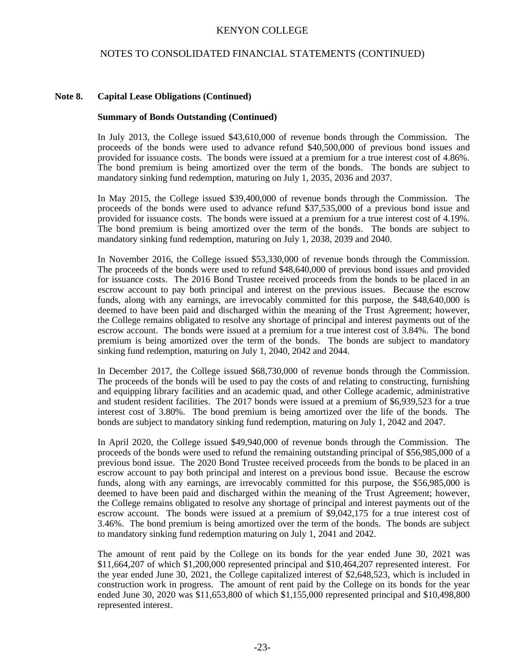### NOTES TO CONSOLIDATED FINANCIAL STATEMENTS (CONTINUED)

#### **Note 8. Capital Lease Obligations (Continued)**

#### **Summary of Bonds Outstanding (Continued)**

In July 2013, the College issued \$43,610,000 of revenue bonds through the Commission. The proceeds of the bonds were used to advance refund \$40,500,000 of previous bond issues and provided for issuance costs. The bonds were issued at a premium for a true interest cost of 4.86%. The bond premium is being amortized over the term of the bonds. The bonds are subject to mandatory sinking fund redemption, maturing on July 1, 2035, 2036 and 2037.

In May 2015, the College issued \$39,400,000 of revenue bonds through the Commission. The proceeds of the bonds were used to advance refund \$37,535,000 of a previous bond issue and provided for issuance costs. The bonds were issued at a premium for a true interest cost of 4.19%. The bond premium is being amortized over the term of the bonds. The bonds are subject to mandatory sinking fund redemption, maturing on July 1, 2038, 2039 and 2040.

In November 2016, the College issued \$53,330,000 of revenue bonds through the Commission. The proceeds of the bonds were used to refund \$48,640,000 of previous bond issues and provided for issuance costs. The 2016 Bond Trustee received proceeds from the bonds to be placed in an escrow account to pay both principal and interest on the previous issues. Because the escrow funds, along with any earnings, are irrevocably committed for this purpose, the \$48,640,000 is deemed to have been paid and discharged within the meaning of the Trust Agreement; however, the College remains obligated to resolve any shortage of principal and interest payments out of the escrow account. The bonds were issued at a premium for a true interest cost of 3.84%. The bond premium is being amortized over the term of the bonds. The bonds are subject to mandatory sinking fund redemption, maturing on July 1, 2040, 2042 and 2044.

In December 2017, the College issued \$68,730,000 of revenue bonds through the Commission. The proceeds of the bonds will be used to pay the costs of and relating to constructing, furnishing and equipping library facilities and an academic quad, and other College academic, administrative and student resident facilities. The 2017 bonds were issued at a premium of \$6,939,523 for a true interest cost of 3.80%. The bond premium is being amortized over the life of the bonds. The bonds are subject to mandatory sinking fund redemption, maturing on July 1, 2042 and 2047.

In April 2020, the College issued \$49,940,000 of revenue bonds through the Commission. The proceeds of the bonds were used to refund the remaining outstanding principal of \$56,985,000 of a previous bond issue. The 2020 Bond Trustee received proceeds from the bonds to be placed in an escrow account to pay both principal and interest on a previous bond issue. Because the escrow funds, along with any earnings, are irrevocably committed for this purpose, the \$56,985,000 is deemed to have been paid and discharged within the meaning of the Trust Agreement; however, the College remains obligated to resolve any shortage of principal and interest payments out of the escrow account. The bonds were issued at a premium of \$9,042,175 for a true interest cost of 3.46%. The bond premium is being amortized over the term of the bonds. The bonds are subject to mandatory sinking fund redemption maturing on July 1, 2041 and 2042.

The amount of rent paid by the College on its bonds for the year ended June 30, 2021 was \$11,664,207 of which \$1,200,000 represented principal and \$10,464,207 represented interest. For the year ended June 30, 2021, the College capitalized interest of \$2,648,523, which is included in construction work in progress. The amount of rent paid by the College on its bonds for the year ended June 30, 2020 was \$11,653,800 of which \$1,155,000 represented principal and \$10,498,800 represented interest.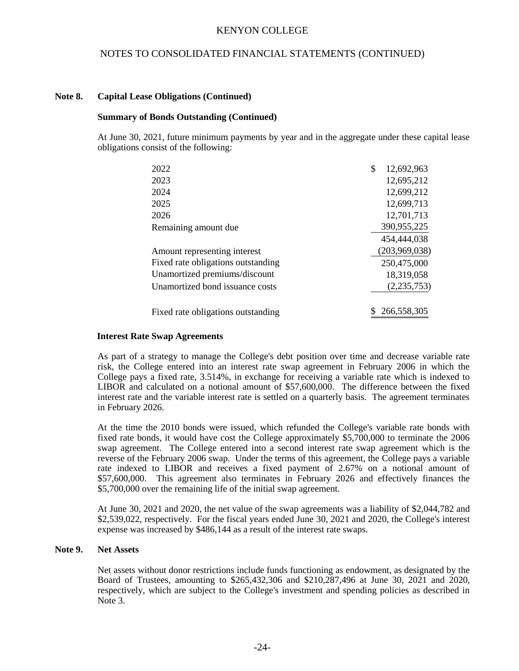### NOTES TO CONSOLIDATED FINANCIAL STATEMENTS (CONTINUED)

#### **Note 8. Capital Lease Obligations (Continued)**

#### **Summary of Bonds Outstanding (Continued)**

At June 30, 2021, future minimum payments by year and in the aggregate under these capital lease obligations consist of the following:

| 2022                               | \$<br>12,692,963 |
|------------------------------------|------------------|
| 2023                               | 12,695,212       |
| 2024                               | 12,699,212       |
| 2025                               | 12,699,713       |
| 2026                               | 12,701,713       |
| Remaining amount due               | 390,955,225      |
|                                    | 454,444,038      |
| Amount representing interest       | (203,969,038)    |
| Fixed rate obligations outstanding | 250,475,000      |
| Unamortized premiums/discount      | 18,319,058       |
| Unamortized bond issuance costs    | (2, 235, 753)    |
| Fixed rate obligations outstanding | 266,558,305      |

#### **Interest Rate Swap Agreements**

As part of a strategy to manage the College's debt position over time and decrease variable rate risk, the College entered into an interest rate swap agreement in February 2006 in which the College pays a fixed rate, 3.514%, in exchange for receiving a variable rate which is indexed to LIBOR and calculated on a notional amount of \$57,600,000. The difference between the fixed interest rate and the variable interest rate is settled on a quarterly basis. The agreement terminates in February 2026.

At the time the 2010 bonds were issued, which refunded the College's variable rate bonds with fixed rate bonds, it would have cost the College approximately \$5,700,000 to terminate the 2006 swap agreement. The College entered into a second interest rate swap agreement which is the reverse of the February 2006 swap. Under the terms of this agreement, the College pays a variable rate indexed to LIBOR and receives a fixed payment of 2.67% on a notional amount of \$57,600,000. This agreement also terminates in February 2026 and effectively finances the \$5,700,000 over the remaining life of the initial swap agreement.

At June 30, 2021 and 2020, the net value of the swap agreements was a liability of \$2,044,782 and \$2,539,022, respectively. For the fiscal years ended June 30, 2021 and 2020, the College's interest expense was increased by \$486,144 as a result of the interest rate swaps.

### **Note 9. Net Assets**

Net assets without donor restrictions include funds functioning as endowment, as designated by the Board of Trustees, amounting to \$265,432,306 and \$210,287,496 at June 30, 2021 and 2020, respectively, which are subject to the College's investment and spending policies as described in Note 3.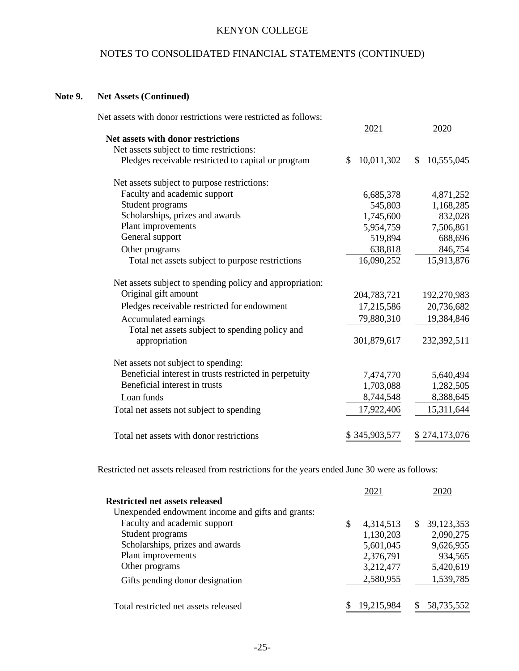# NOTES TO CONSOLIDATED FINANCIAL STATEMENTS (CONTINUED)

# **Note 9. Net Assets (Continued)**

Net assets with donor restrictions were restricted as follows:

|                                                          | 2021             | 2020             |
|----------------------------------------------------------|------------------|------------------|
| Net assets with donor restrictions                       |                  |                  |
| Net assets subject to time restrictions:                 |                  |                  |
| Pledges receivable restricted to capital or program      | 10,011,302<br>\$ | 10,555,045<br>\$ |
| Net assets subject to purpose restrictions:              |                  |                  |
| Faculty and academic support                             | 6,685,378        | 4,871,252        |
| Student programs                                         | 545,803          | 1,168,285        |
| Scholarships, prizes and awards                          | 1,745,600        | 832,028          |
| Plant improvements                                       | 5,954,759        | 7,506,861        |
| General support                                          | 519,894          | 688,696          |
| Other programs                                           | 638,818          | 846,754          |
| Total net assets subject to purpose restrictions         | 16,090,252       | 15,913,876       |
| Net assets subject to spending policy and appropriation: |                  |                  |
| Original gift amount                                     | 204,783,721      | 192,270,983      |
| Pledges receivable restricted for endowment              | 17,215,586       | 20,736,682       |
| Accumulated earnings                                     | 79,880,310       | 19,384,846       |
| Total net assets subject to spending policy and          |                  |                  |
| appropriation                                            | 301,879,617      | 232,392,511      |
| Net assets not subject to spending:                      |                  |                  |
| Beneficial interest in trusts restricted in perpetuity   | 7,474,770        | 5,640,494        |
| Beneficial interest in trusts                            | 1,703,088        | 1,282,505        |
| Loan funds                                               | 8,744,548        | 8,388,645        |
| Total net assets not subject to spending                 | 17,922,406       | 15,311,644       |
|                                                          |                  |                  |
| Total net assets with donor restrictions                 | \$345,903,577    | \$274,173,076    |

Restricted net assets released from restrictions for the years ended June 30 were as follows:

|                                                   |   | 2021       |    | 2020       |
|---------------------------------------------------|---|------------|----|------------|
| <b>Restricted net assets released</b>             |   |            |    |            |
| Unexpended endowment income and gifts and grants: |   |            |    |            |
| Faculty and academic support                      | S | 4,314,513  | S. | 39,123,353 |
| Student programs                                  |   | 1,130,203  |    | 2,090,275  |
| Scholarships, prizes and awards                   |   | 5,601,045  |    | 9,626,955  |
| Plant improvements                                |   | 2,376,791  |    | 934,565    |
| Other programs                                    |   | 3,212,477  |    | 5,420,619  |
| Gifts pending donor designation                   |   | 2,580,955  |    | 1,539,785  |
| Total restricted net assets released              |   | 19,215,984 |    | 58,735,552 |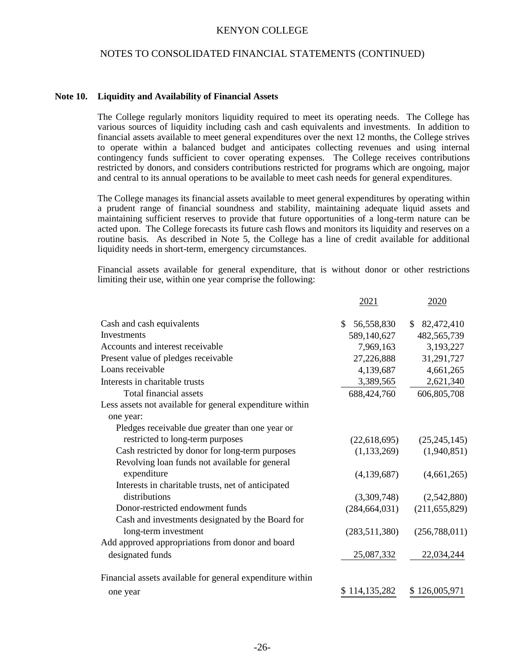### NOTES TO CONSOLIDATED FINANCIAL STATEMENTS (CONTINUED)

#### **Note 10. Liquidity and Availability of Financial Assets**

The College regularly monitors liquidity required to meet its operating needs. The College has various sources of liquidity including cash and cash equivalents and investments. In addition to financial assets available to meet general expenditures over the next 12 months, the College strives to operate within a balanced budget and anticipates collecting revenues and using internal contingency funds sufficient to cover operating expenses. The College receives contributions restricted by donors, and considers contributions restricted for programs which are ongoing, major and central to its annual operations to be available to meet cash needs for general expenditures.

The College manages its financial assets available to meet general expenditures by operating within a prudent range of financial soundness and stability, maintaining adequate liquid assets and maintaining sufficient reserves to provide that future opportunities of a long-term nature can be acted upon. The College forecasts its future cash flows and monitors its liquidity and reserves on a routine basis. As described in Note 5, the College has a line of credit available for additional liquidity needs in short-term, emergency circumstances.

Financial assets available for general expenditure, that is without donor or other restrictions limiting their use, within one year comprise the following:

|                                                           | 2021             | 2020            |
|-----------------------------------------------------------|------------------|-----------------|
| Cash and cash equivalents                                 | \$<br>56,558,830 | \$82,472,410    |
| Investments                                               | 589,140,627      | 482,565,739     |
| Accounts and interest receivable                          | 7,969,163        | 3,193,227       |
| Present value of pledges receivable                       | 27,226,888       | 31,291,727      |
| Loans receivable                                          | 4,139,687        | 4,661,265       |
| Interests in charitable trusts                            | 3,389,565        | 2,621,340       |
| <b>Total financial assets</b>                             | 688,424,760      | 606,805,708     |
| Less assets not available for general expenditure within  |                  |                 |
| one year:                                                 |                  |                 |
| Pledges receivable due greater than one year or           |                  |                 |
| restricted to long-term purposes                          | (22,618,695)     | (25, 245, 145)  |
| Cash restricted by donor for long-term purposes           | (1, 133, 269)    | (1,940,851)     |
| Revolving loan funds not available for general            |                  |                 |
| expenditure                                               | (4,139,687)      | (4,661,265)     |
| Interests in charitable trusts, net of anticipated        |                  |                 |
| distributions                                             | (3,309,748)      | (2,542,880)     |
| Donor-restricted endowment funds                          | (284, 664, 031)  | (211, 655, 829) |
| Cash and investments designated by the Board for          |                  |                 |
| long-term investment                                      | (283,511,380)    | (256,788,011)   |
| Add approved appropriations from donor and board          |                  |                 |
| designated funds                                          | 25,087,332       | 22,034,244      |
| Financial assets available for general expenditure within |                  |                 |
| one year                                                  | \$114,135,282    | \$126,005,971   |